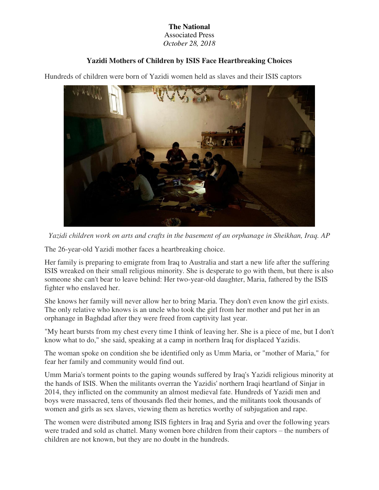#### **The National**  Associated Press

*October 28, 2018* 

# **Yazidi Mothers of Children by ISIS Face Heartbreaking Choices**

Hundreds of children were born of Yazidi women held as slaves and their ISIS captors



*Yazidi children work on arts and crafts in the basement of an orphanage in Sheikhan, Iraq. AP* 

The 26-year-old Yazidi mother faces a heartbreaking choice.

Her family is preparing to emigrate from Iraq to Australia and start a new life after the suffering ISIS wreaked on their small religious minority. She is desperate to go with them, but there is also someone she can't bear to leave behind: Her two-year-old daughter, Maria, fathered by the ISIS fighter who enslaved her.

She knows her family will never allow her to bring Maria. They don't even know the girl exists. The only relative who knows is an uncle who took the girl from her mother and put her in an orphanage in Baghdad after they were freed from captivity last year.

"My heart bursts from my chest every time I think of leaving her. She is a piece of me, but I don't know what to do," she said, speaking at a camp in northern Iraq for displaced Yazidis.

The woman spoke on condition she be identified only as Umm Maria, or "mother of Maria," for fear her family and community would find out.

Umm Maria's torment points to the gaping wounds suffered by Iraq's Yazidi religious minority at the hands of ISIS. When the militants overran the Yazidis' northern Iraqi heartland of Sinjar in 2014, they inflicted on the community an almost medieval fate. Hundreds of Yazidi men and boys were massacred, tens of thousands fled their homes, and the militants took thousands of women and girls as sex slaves, viewing them as heretics worthy of subjugation and rape.

The women were distributed among ISIS fighters in Iraq and Syria and over the following years were traded and sold as chattel. Many women bore children from their captors – the numbers of children are not known, but they are no doubt in the hundreds.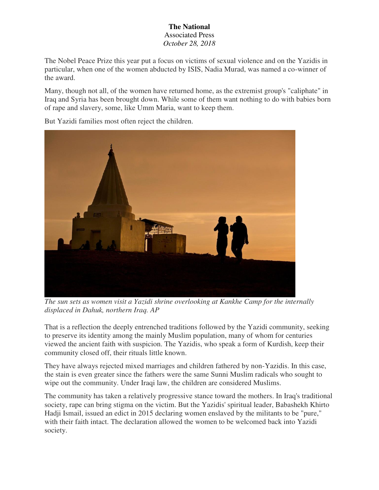The Nobel Peace Prize this year put a focus on victims of sexual violence and on the Yazidis in particular, when one of the women abducted by ISIS, Nadia Murad, was named a co-winner of the award.

Many, though not all, of the women have returned home, as the extremist group's "caliphate" in Iraq and Syria has been brought down. While some of them want nothing to do with babies born of rape and slavery, some, like Umm Maria, want to keep them.



But Yazidi families most often reject the children.

*The sun sets as women visit a Yazidi shrine overlooking at Kankhe Camp for the internally displaced in Dahuk, northern Iraq. AP* 

That is a reflection the deeply entrenched traditions followed by the Yazidi community, seeking to preserve its identity among the mainly Muslim population, many of whom for centuries viewed the ancient faith with suspicion. The Yazidis, who speak a form of Kurdish, keep their community closed off, their rituals little known.

They have always rejected mixed marriages and children fathered by non-Yazidis. In this case, the stain is even greater since the fathers were the same Sunni Muslim radicals who sought to wipe out the community. Under Iraqi law, the children are considered Muslims.

The community has taken a relatively progressive stance toward the mothers. In Iraq's traditional society, rape can bring stigma on the victim. But the Yazidis' spiritual leader, Babashekh Khirto Hadji Ismail, issued an edict in 2015 declaring women enslaved by the militants to be "pure," with their faith intact. The declaration allowed the women to be welcomed back into Yazidi society.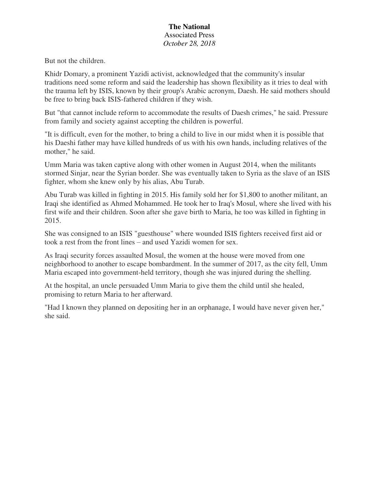But not the children.

Khidr Domary, a prominent Yazidi activist, acknowledged that the community's insular traditions need some reform and said the leadership has shown flexibility as it tries to deal with the trauma left by ISIS, known by their group's Arabic acronym, Daesh. He said mothers should be free to bring back ISIS-fathered children if they wish.

But "that cannot include reform to accommodate the results of Daesh crimes," he said. Pressure from family and society against accepting the children is powerful.

"It is difficult, even for the mother, to bring a child to live in our midst when it is possible that his Daeshi father may have killed hundreds of us with his own hands, including relatives of the mother," he said.

Umm Maria was taken captive along with other women in August 2014, when the militants stormed Sinjar, near the Syrian border. She was eventually taken to Syria as the slave of an ISIS fighter, whom she knew only by his alias, Abu Turab.

Abu Turab was killed in fighting in 2015. His family sold her for \$1,800 to another militant, an Iraqi she identified as Ahmed Mohammed. He took her to Iraq's Mosul, where she lived with his first wife and their children. Soon after she gave birth to Maria, he too was killed in fighting in 2015.

She was consigned to an ISIS "guesthouse" where wounded ISIS fighters received first aid or took a rest from the front lines – and used Yazidi women for sex.

As Iraqi security forces assaulted Mosul, the women at the house were moved from one neighborhood to another to escape bombardment. In the summer of 2017, as the city fell, Umm Maria escaped into government-held territory, though she was injured during the shelling.

At the hospital, an uncle persuaded Umm Maria to give them the child until she healed, promising to return Maria to her afterward.

"Had I known they planned on depositing her in an orphanage, I would have never given her," she said.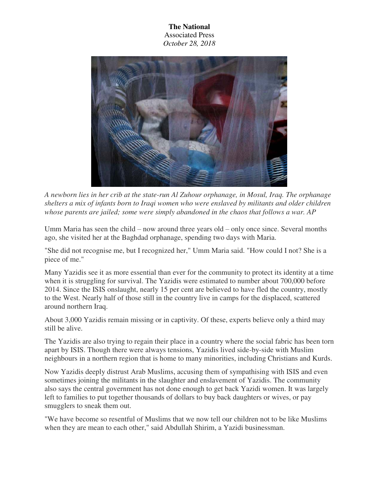

*A newborn lies in her crib at the state-run Al Zuhour orphanage, in Mosul, Iraq. The orphanage shelters a mix of infants born to Iraqi women who were enslaved by militants and older children whose parents are jailed; some were simply abandoned in the chaos that follows a war. AP* 

Umm Maria has seen the child – now around three years old – only once since. Several months ago, she visited her at the Baghdad orphanage, spending two days with Maria.

"She did not recognise me, but I recognized her," Umm Maria said. "How could I not? She is a piece of me."

Many Yazidis see it as more essential than ever for the community to protect its identity at a time when it is struggling for survival. The Yazidis were estimated to number about 700,000 before 2014. Since the ISIS onslaught, nearly 15 per cent are believed to have fled the country, mostly to the West. Nearly half of those still in the country live in camps for the displaced, scattered around northern Iraq.

About 3,000 Yazidis remain missing or in captivity. Of these, experts believe only a third may still be alive.

The Yazidis are also trying to regain their place in a country where the social fabric has been torn apart by ISIS. Though there were always tensions, Yazidis lived side-by-side with Muslim neighbours in a northern region that is home to many minorities, including Christians and Kurds.

Now Yazidis deeply distrust Arab Muslims, accusing them of sympathising with ISIS and even sometimes joining the militants in the slaughter and enslavement of Yazidis. The community also says the central government has not done enough to get back Yazidi women. It was largely left to families to put together thousands of dollars to buy back daughters or wives, or pay smugglers to sneak them out.

"We have become so resentful of Muslims that we now tell our children not to be like Muslims when they are mean to each other," said Abdullah Shirim, a Yazidi businessman.